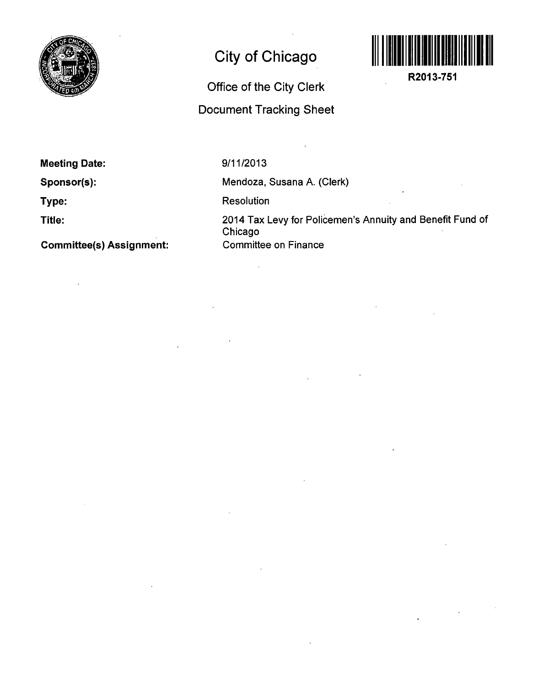

## **City of Chicago**

## **Office of the City Clerk Document Tracking Sheet**



**R2013-751** 

**Meeting Date:** 

**Sponsor(s):** 

**Type:** 

**Title:** 

**Committee(s) Assignment:** 

**9/11/2013** 

Mendoza, Susana A. (Clerk)

Resolution

 $\mathbb{R}^2$ 

2014 Tax Levy for Policemen's Annuity and Benefit Fund of Chicago Committee on Finance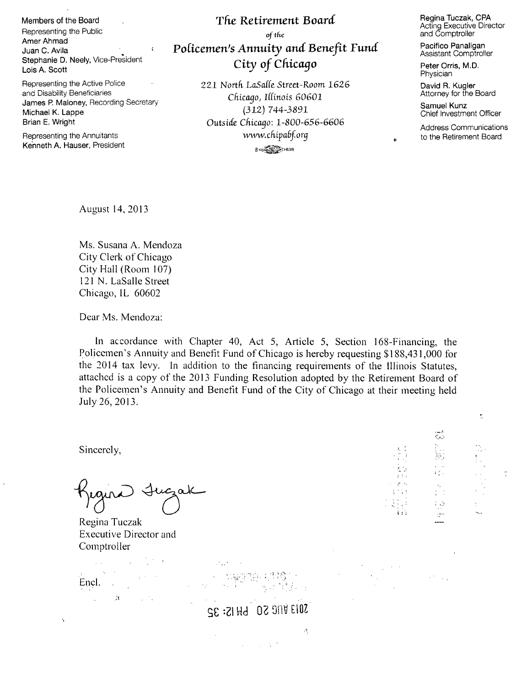Members of the Board Representing the Public Amer Ahmad Juan C. Avila **Santa C. Avila** Santa C. Avila Stephanie D. Neely, Vice-President Lois A. Scott

Representing the Active Police and Disability Beneficiaries James P. Maloney, Recording Secretary-Michael K. Lappe Brian E. Wright

Representing the Annuitants Kenneth A. Hauser, President

## **The Retirement Board** of the *Policemen's Annuity and Benefit Fund City of Chicago*

221 North LaSalle Street-Room 1626 *Chicago, Iffinois 60601 (312) 744-3891 Outsicle Chicago: 1-800-656-6606 vw-TV. chifabj.org*   $3.44$   $\frac{100}{200}$   $\frac{100}{200}$   $\frac{100}{200}$   $\frac{100}{200}$   $\frac{100}{200}$   $\frac{100}{200}$   $\frac{100}{200}$ 

Regina Tuczak, CPA Acting Executive Director and Comptroller

Pacifico Panaligan Assistant Comptroller

Peter Orris, M.D. Physician

David R. Kugler Attorney for the Board

Samuel Kunz Chief Investment Officer

Address Communications to the Retirement Board

 $\overline{\mathbf{r}}$ 

 $2\times 2\times$ 

A SO

August 14, 2013

Ms. Susana A. Mendoza City Clerk, of Chicago City Hall (Room 107) 12I N. LaSalle Street Chicago, IL 60602

Dear Ms. Mendoza:

In accordance with Chapter 40, Act 5, Article 5, Section 168-Financing, the Policemen's Annuity and Benefit Fund of Chicago is hereby requesting \$188,431,000 for the 2014 tax levy. In addition to the financing requirements of the Illinois Statutes, attached is a copy of the 2013 Funding Resolution adopted by the Retirement Board of the Policemen's Annuity and Benefit Fund of the City of Chicago at their meeting held July 26, 2013.

Sincerely,

Ń

Regina Tuczak Executive Director and Comptroller

 $\mathcal{L}^{\text{max}}$  $\sim 10^{11}$  and  $\sim 10^{11}$ Encl.  $\mathcal{L}^{\mathcal{L}}(\mathbb{R}^n,\mathbb{R}^n)$  , where  $\mathcal{L}^{\mathcal{L}}(\mathbb{R}^n)$ 

**SO13 VNC SO LH IS: 32** 

 $\omega$  ,  $\omega$  ,  $\tau$ 

 $\mathcal{F}_i$